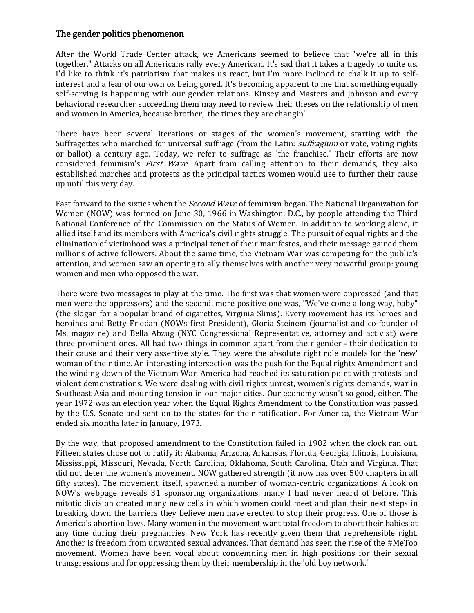## The gender politics phenomenon

After the World Trade Center attack, we Americans seemed to believe that "we're all in this together." Attacks on all Americans rally every American. It's sad that it takes a tragedy to unite us. I'd like to think it's patriotism that makes us react, but I'm more inclined to chalk it up to selfinterest and a fear of our own ox being gored. It's becoming apparent to me that something equally self-serving is happening with our gender relations. Kinsey and Masters and Johnson and every behavioral researcher succeeding them may need to review their theses on the relationship of men and women in America, because brother, the times they are changin'.

There have been several iterations or stages of the women's movement, starting with the Suffragettes who marched for universal suffrage (from the Latin: *suffragium* or vote, voting rights or ballot) a century ago. Today, we refer to suffrage as 'the franchise.' Their efforts are now considered feminism's *First Wave*. Apart from calling attention to their demands, they also established marches and protests as the principal tactics women would use to further their cause up until this very day.

Fast forward to the sixties when the *Second Wave* of feminism began. The National Organization for Women (NOW) was formed on June 30, 1966 in Washington, D.C., by people attending the Third National Conference of the Commission on the Status of Women. In addition to working alone, it allied itself and its members with America's civil rights struggle. The pursuit of equal rights and the elimination of victimhood was a principal tenet of their manifestos, and their message gained them millions of active followers. About the same time, the Vietnam War was competing for the public's attention, and women saw an opening to ally themselves with another very powerful group: young women and men who opposed the war.

There were two messages in play at the time. The first was that women were oppressed (and that men were the oppressors) and the second, more positive one was, "We've come a long way, baby" (the slogan for a popular brand of cigarettes, Virginia Slims). Every movement has its heroes and heroines and Betty Friedan (NOWs first President), Gloria Steinem (journalist and co-founder of Ms. magazine) and Bella Abzug (NYC Congressional Representative, attorney and activist) were three prominent ones. All had two things in common apart from their gender - their dedication to their cause and their very assertive style. They were the absolute right role models for the 'new' woman of their time. An interesting intersection was the push for the Equal rights Amendment and the winding down of the Vietnam War. America had reached its saturation point with protests and violent demonstrations. We were dealing with civil rights unrest, women's rights demands, war in Southeast Asia and mounting tension in our major cities. Our economy wasn't so good, either. The year 1972 was an election year when the Equal Rights Amendment to the Constitution was passed by the U.S. Senate and sent on to the states for their ratification. For America, the Vietnam War ended six months later in January, 1973.

By the way, that proposed amendment to the Constitution failed in 1982 when the clock ran out. Fifteen states chose not to ratify it: Alabama, Arizona, Arkansas, Florida, Georgia, Illinois, Louisiana, Mississippi, Missouri, Nevada, North Carolina, Oklahoma, South Carolina, Utah and Virginia. That did not deter the women's movement. NOW gathered strength (it now has over 500 chapters in all fifty states). The movement, itself, spawned a number of woman-centric organizations. A look on NOW's webpage reveals 31 sponsoring organizations, many I had never heard of before. This mitotic division created many new cells in which women could meet and plan their next steps in breaking down the barriers they believe men have erected to stop their progress. One of those is America's abortion laws. Many women in the movement want total freedom to abort their babies at any time during their pregnancies. New York has recently given them that reprehensible right. Another is freedom from unwanted sexual advances. That demand has seen the rise of the #MeToo movement. Women have been vocal about condemning men in high positions for their sexual transgressions and for oppressing them by their membership in the 'old boy network.'